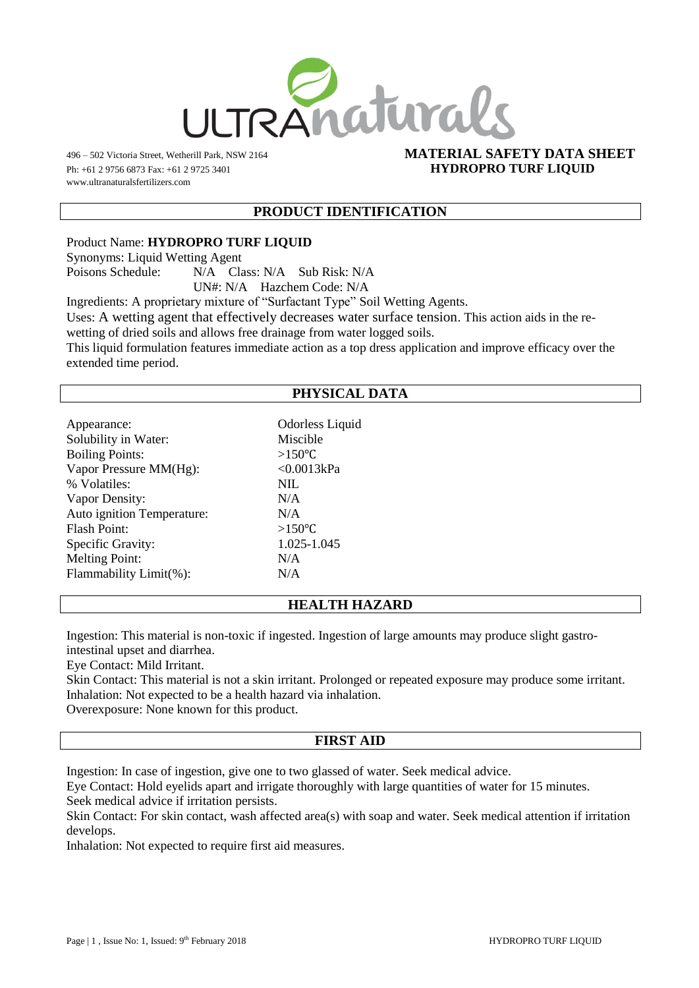

Ph: +61 2 9756 6873 Fax: +61 2 9725 3401 **HYDROPRO TURF LIQUID** www.ultranaturalsfertilizers.com

# 496 – 502 Victoria Street, Wetherill Park, NSW 2164 **MATERIAL SAFETY DATA SHEET**

#### **PRODUCT IDENTIFICATION**

Product Name: **HYDROPRO TURF LIQUID**

Synonyms: Liquid Wetting Agent

Poisons Schedule: N/A Class: N/A Sub Risk: N/A

UN#: N/A Hazchem Code: N/A

Ingredients: A proprietary mixture of "Surfactant Type" Soil Wetting Agents.

Uses: A wetting agent that effectively decreases water surface tension. This action aids in the re-

wetting of dried soils and allows free drainage from water logged soils.

This liquid formulation features immediate action as a top dress application and improve efficacy over the extended time period.

## **PHYSICAL DATA**

| Appearance:                | Odorless Liquid |
|----------------------------|-----------------|
| Solubility in Water:       | Miscible        |
| <b>Boiling Points:</b>     | $>150^{\circ}C$ |
| Vapor Pressure MM(Hg):     | < 0.0013kPa     |
| % Volatiles:               | <b>NIL</b>      |
| Vapor Density:             | N/A             |
| Auto ignition Temperature: | N/A             |
| Flash Point:               | $>150^{\circ}C$ |
| Specific Gravity:          | 1.025-1.045     |
| <b>Melting Point:</b>      | N/A             |
| Flammability Limit(%):     | N/A             |
|                            |                 |

## **HEALTH HAZARD**

Ingestion: This material is non-toxic if ingested. Ingestion of large amounts may produce slight gastrointestinal upset and diarrhea.

Eye Contact: Mild Irritant.

Skin Contact: This material is not a skin irritant. Prolonged or repeated exposure may produce some irritant. Inhalation: Not expected to be a health hazard via inhalation.

Overexposure: None known for this product.

#### **FIRST AID**

Ingestion: In case of ingestion, give one to two glassed of water. Seek medical advice.

Eye Contact: Hold eyelids apart and irrigate thoroughly with large quantities of water for 15 minutes. Seek medical advice if irritation persists.

Skin Contact: For skin contact, wash affected area(s) with soap and water. Seek medical attention if irritation develops.

Inhalation: Not expected to require first aid measures.